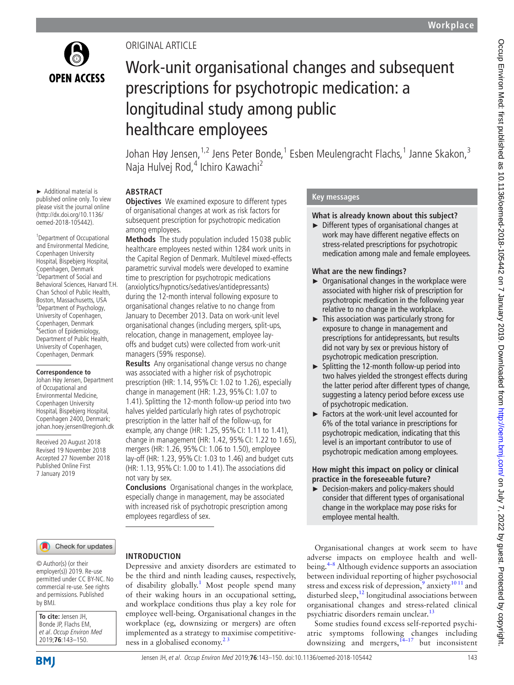

► Additional material is published online only. To view please visit the journal online (http://dx.doi.org/10.1136/ oemed-2018-105442).

1 Department of Occupational and Environmental Medicine, Copenhagen University Hospital, Bispebjerg Hospital, Copenhagen, Denmark <sup>2</sup> Department of Social and Behavioral Sciences, Harvard T.H. Chan School of Public Health, Boston, Massachusetts, USA <sup>3</sup> <sup>3</sup>Department of Psychology, University of Copenhagen, Copenhagen, Denmark 4 Section of Epidemiology, Department of Public Health, University of Copenhagen, Copenhagen, Denmark **Correspondence to** Johan Høy Jensen, Department of Occupational and Environmental Medicine, Copenhagen University Hospital, Bispebjerg Hospital, Copenhagen 2400, Denmark; johan.hoey.jensen@regionh.dk Received 20 August 2018 Revised 19 November 2018 Accepted 27 November 2018 Published Online First 7 January 2019

## Original article

# Work-unit organisational changes and subsequent prescriptions for psychotropic medication: a longitudinal study among public healthcare employees

Johan Høy Jensen,<sup>1,2</sup> Jens Peter Bonde,<sup>1</sup> Esben Meulengracht Flachs,<sup>1</sup> Janne Skakon,<sup>3</sup> Naja Hulvej Rod,<sup>4</sup> Ichiro Kawachi<sup>2</sup>

## **Abstract**

**Objectives** We examined exposure to different types of organisational changes at work as risk factors for subsequent prescription for psychotropic medication among employees.

**Methods** The study population included 15 038 public healthcare employees nested within 1284 work units in the Capital Region of Denmark. Multilevel mixed-effects parametric survival models were developed to examine time to prescription for psychotropic medications (anxiolytics/hypnotics/sedatives/antidepressants) during the 12-month interval following exposure to organisational changes relative to no change from January to December 2013. Data on work-unit level organisational changes (including mergers, split-ups, relocation, change in management, employee layoffs and budget cuts) were collected from work-unit managers (59% response).

**Results** Any organisational change versus no change was associated with a higher risk of psychotropic prescription (HR: 1.14, 95% CI: 1.02 to 1.26), especially change in management (HR: 1.23, 95% CI: 1.07 to 1.41). Splitting the 12-month follow-up period into two halves yielded particularly high rates of psychotropic prescription in the latter half of the follow-up, for example, any change (HR: 1.25, 95% CI: 1.11 to 1.41), change in management (HR: 1.42, 95% CI: 1.22 to 1.65), mergers (HR: 1.26, 95% CI: 1.06 to 1.50), employee lay-off (HR: 1.23, 95% CI: 1.03 to 1.46) and budget cuts (HR: 1.13, 95% CI: 1.00 to 1.41). The associations did not vary by sex.

**Conclusions** Organisational changes in the workplace, especially change in management, may be associated with increased risk of psychotropic prescription among employees regardless of sex.

**Introduction**

#### Check for updates

© Author(s) (or their employer(s)) 2019. Re-use permitted under CC BY-NC. No commercial re-use. See rights and permissions. Published by BMJ.

**To cite:** Jensen JH, Bonde JP, Flachs EM, et al. Occup Environ Med 2019;**76**:143–150.

be the third and ninth leading causes, respectively, of disability globally.<sup>1</sup> Most people spend many of their waking hours in an occupational setting, and workplace conditions thus play a key role for employee well-being. Organisational changes in the workplace (eg, downsizing or mergers) are often implemented as a strategy to maximise competitiveness in a globalised economy. $2<sup>3</sup>$ 

Depressive and anxiety disorders are estimated to

## **Key messages**

#### **What is already known about this subject?**

► Different types of organisational changes at work may have different negative effects on stress-related prescriptions for psychotropic medication among male and female employees.

#### **What are the new findings?**

- ► Organisational changes in the workplace were associated with higher risk of prescription for psychotropic medication in the following year relative to no change in the workplace.
- ► This association was particularly strong for exposure to change in management and prescriptions for antidepressants, but results did not vary by sex or previous history of psychotropic medication prescription.
- ► Splitting the 12-month follow-up period into two halves yielded the strongest effects during the latter period after different types of change, suggesting a latency period before excess use of psychotropic medication.
- ► Factors at the work-unit level accounted for 6% of the total variance in prescriptions for psychotropic medication, indicating that this level is an important contributor to use of psychotropic medication among employees.

#### **How might this impact on policy or clinical practice in the foreseeable future?**

► Decision-makers and policy-makers should consider that different types of organisational change in the workplace may pose risks for employee mental health.

Organisational changes at work seem to have adverse impacts on employee health and wellbeing[.4–8](#page-7-2) Although evidence supports an association between individual reporting of higher psychosocial stress and excess risk of depression,<sup>[9](#page-7-3)</sup> anxiety<sup>[10 11](#page-7-4)</sup> and disturbed sleep, $^{12}$  $^{12}$  $^{12}$  longitudinal associations between organisational changes and stress-related clinical psychiatric disorders remain unclear.<sup>13</sup>

Some studies found excess self-reported psychiatric symptoms following changes including downsizing and mergers,  $14-17$  but inconsistent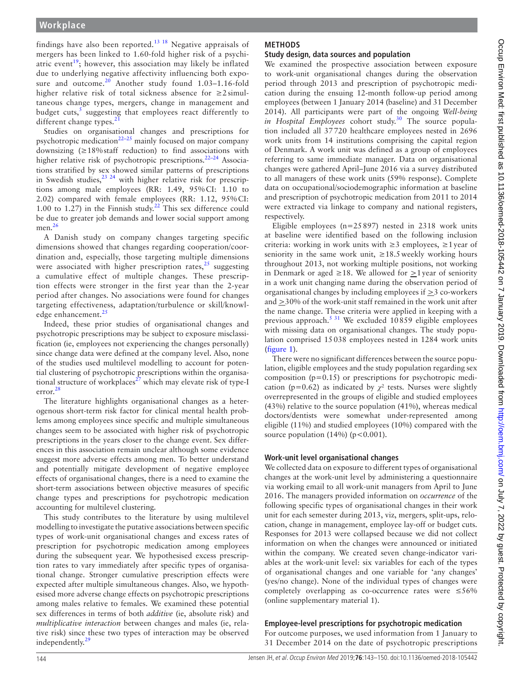findings have also been reported.<sup>13 18</sup> Negative appraisals of mergers has been linked to 1.60-fold higher risk of a psychi-atric event<sup>[19](#page-7-8)</sup>; however, this association may likely be inflated due to underlying negative affectivity influencing both expo-sure and outcome.<sup>[20](#page-7-9)</sup> Another study found 1.03-1.16-fold higher relative risk of total sickness absence for ≥2 simultaneous change types, mergers, change in management and budget cuts,<sup>[5](#page-7-10)</sup> suggesting that employees react differently to different change types. $21$ 

Studies on organisational changes and prescriptions for psychotropic medication<sup>[22–25](#page-7-12)</sup> mainly focused on major company downsizing (≥18%staff reduction) to find associations with higher relative risk of psychotropic prescriptions.<sup>22-24</sup> Associations stratified by sex showed similar patterns of prescriptions in Swedish studies,  $23 \times 24$  with higher relative risk for prescriptions among male employees (RR: 1.49, 95%CI: 1.10 to 2.02) compared with female employees (RR: 1.12, 95%CI: 1.00 to 1.27) in the Finnish study.<sup>22</sup> This sex difference could be due to greater job demands and lower social support among men.<sup>[26](#page-7-14)</sup>

A Danish study on company changes targeting specific dimensions showed that changes regarding cooperation/coordination and, especially, those targeting multiple dimensions were associated with higher prescription rates, $25$  suggesting a cumulative effect of multiple changes. These prescription effects were stronger in the first year than the 2-year period after changes. No associations were found for changes targeting effectiveness, adaptation/turbulence or skill/knowl-edge enhancement.<sup>[25](#page-7-15)</sup>

Indeed, these prior studies of organisational changes and psychotropic prescriptions may be subject to exposure misclassification (ie, employees not experiencing the changes personally) since change data were defined at the company level. Also, none of the studies used multilevel modelling to account for potential clustering of psychotropic prescriptions within the organisational structure of workplaces $^{27}$  $^{27}$  $^{27}$  which may elevate risk of type-I error.[28](#page-7-17)

The literature highlights organisational changes as a heterogenous short-term risk factor for clinical mental health problems among employees since specific and multiple simultaneous changes seem to be associated with higher risk of psychotropic prescriptions in the years closer to the change event. Sex differences in this association remain unclear although some evidence suggest more adverse effects among men. To better understand and potentially mitigate development of negative employee effects of organisational changes, there is a need to examine the short-term associations between objective measures of specific change types and prescriptions for psychotropic medication accounting for multilevel clustering.

This study contributes to the literature by using multilevel modelling to investigate the putative associations between specific types of work-unit organisational changes and excess rates of prescription for psychotropic medication among employees during the subsequent year. We hypothesised excess prescription rates to vary immediately after specific types of organisational change. Stronger cumulative prescription effects were expected after multiple simultaneous changes. Also, we hypothesised more adverse change effects on psychotropic prescriptions among males relative to females. We examined these potential sex differences in terms of both *additive* (ie, absolute risk) and *multiplicative interaction* between changes and males (ie, relative risk) since these two types of interaction may be observed independently.<sup>29</sup>

## **Methods**

## **Study design, data sources and population**

We examined the prospective association between exposure to work-unit organisational changes during the observation period through 2013 and prescription of psychotropic medication during the ensuing 12-month follow-up period among employees (between 1 January 2014 (baseline) and 31 December 2014). All participants were part of the ongoing *Well-being in Hospital Employees* cohort study.<sup>30</sup> The source population included all 37720 healthcare employees nested in 2696 work units from 14 institutions comprising the capital region of Denmark. A work unit was defined as a group of employees referring to same immediate manager. Data on organisational changes were gathered April–June 2016 via a survey distributed to all managers of these work units (59% response). Complete data on occupational/sociodemographic information at baseline and prescription of psychotropic medication from 2011 to 2014 were extracted via linkage to company and national registers, respectively.

Eligible employees ( $n=25897$ ) nested in 2318 work units at baseline were identified based on the following inclusion criteria: working in work units with  $\geq$ 3 employees,  $\geq$ 1 year of seniority in the same work unit,  $\geq 18.5$  weekly working hours throughout 2013, not working multiple positions, not working in Denmark or aged ≥18. We allowed for  $\geq$ 1 year of seniority in a work unit changing name during the observation period of organisational changes by including employees if >3 co-workers and  $\geq$ 30% of the work-unit staff remained in the work unit after the name change. These criteria were applied in keeping with a previous approach.[5 31](#page-7-10) We excluded 10859 eligible employees with missing data on organisational changes. The study population comprised 15038 employees nested in 1284 work units ([figure](#page-2-0) 1).

There were no significant differences between the source population, eligible employees and the study population regarding sex composition (p=0.15) or prescriptions for psychotropic medication (p=0.62) as indicated by  $\chi^2$  tests. Nurses were slightly overrepresented in the groups of eligible and studied employees (43%) relative to the source population (41%), whereas medical doctors/dentists were somewhat under-represented among eligible (11%) and studied employees (10%) compared with the source population (14%) ( $p < 0.001$ ).

## **Work-unit level organisational changes**

We collected data on exposure to different types of organisational changes at the work-unit level by administering a questionnaire via working email to all work-unit managers from April to June 2016. The managers provided information on *occurrence* of the following specific types of organisational changes in their work unit for each semester during 2013, viz, mergers, split-ups, relocation, change in management, employee lay-off or budget cuts. Responses for 2013 were collapsed because we did not collect information on when the changes were announced or initiated within the company. We created seven change-indicator variables at the work-unit level: six variables for each of the types of organisational changes and one variable for 'any changes' (yes/no change). None of the individual types of changes were completely overlapping as co-occurrence rates were  $\leq 56\%$ (online [supplementary material 1](https://dx.doi.org/10.1136/oemed-2018-105442)).

## **Employee-level prescriptions for psychotropic medication**

For outcome purposes, we used information from 1 January to 31 December 2014 on the date of psychotropic prescriptions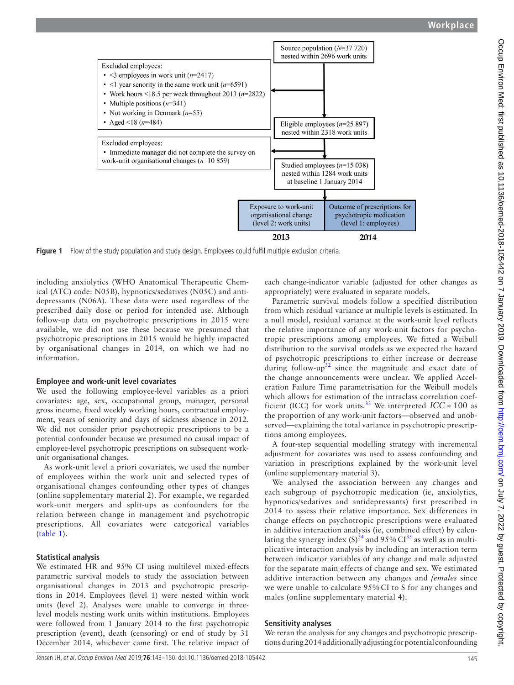

**Figure 1** Flow of the study population and study design. Employees could fulfil multiple exclusion criteria.

including anxiolytics (WHO Anatomical Therapeutic Chemical (ATC) code: N05B), hypnotics/sedatives (N05C) and antidepressants (N06A). These data were used regardless of the prescribed daily dose or period for intended use. Although follow-up data on psychotropic prescriptions in 2015 were available, we did not use these because we presumed that psychotropic prescriptions in 2015 would be highly impacted by organisational changes in 2014, on which we had no information.

## **Employee and work-unit level covariates**

We used the following employee-level variables as a priori covariates: age, sex, occupational group, manager, personal gross income, fixed weekly working hours, contractual employment, years of seniority and days of sickness absence in 2012. We did not consider prior psychotropic prescriptions to be a potential confounder because we presumed no causal impact of employee-level psychotropic prescriptions on subsequent workunit organisational changes.

As work-unit level a priori covariates, we used the number of employees within the work unit and selected types of organisational changes confounding other types of changes (online [supplementary material 2\)](https://dx.doi.org/10.1136/oemed-2018-105442). For example, we regarded work-unit mergers and split-ups as confounders for the relation between change in management and psychotropic prescriptions. All covariates were categorical variables ([table](#page-3-0) 1).

## **Statistical analysis**

We estimated HR and 95% CI using multilevel mixed-effects parametric survival models to study the association between organisational changes in 2013 and psychotropic prescriptions in 2014. Employees (level 1) were nested within work units (level 2). Analyses were unable to converge in threelevel models nesting work units within institutions. Employees were followed from 1 January 2014 to the first psychotropic prescription (event), death (censoring) or end of study by 31 December 2014, whichever came first. The relative impact of

<span id="page-2-0"></span>each change-indicator variable (adjusted for other changes as appropriately) were evaluated in separate models.

Parametric survival models follow a specified distribution from which residual variance at multiple levels is estimated. In a null model, residual variance at the work-unit level reflects the relative importance of any work-unit factors for psychotropic prescriptions among employees. We fitted a Weibull distribution to the survival models as we expected the hazard of psychotropic prescriptions to either increase or decrease during follow-up<sup>32</sup> since the magnitude and exact date of the change announcements were unclear. We applied Acceleration Failure Time parametrisation for the Weibull models which allows for estimation of the intraclass correlation coef-ficient (ICC) for work units.<sup>[33](#page-7-21)</sup> We interpreted  $ICC * 100$  as the proportion of any work-unit factors—observed and unobserved—explaining the total variance in psychotropic prescriptions among employees.

A four-step sequential modelling strategy with incremental adjustment for covariates was used to assess confounding and variation in prescriptions explained by the work-unit level (online [supplementary material 3](https://dx.doi.org/10.1136/oemed-2018-105442)).

We analysed the association between any changes and each subgroup of psychotropic medication (ie, anxiolytics, hypnotics/sedatives and antidepressants) first prescribed in 2014 to assess their relative importance. Sex differences in change effects on psychotropic prescriptions were evaluated in additive interaction analysis (ie, combined effect) by calculating the synergy index  $(S)^{34}$  $(S)^{34}$  $(S)^{34}$  and 95% CI<sup>35</sup> as well as in multiplicative interaction analysis by including an interaction term between indicator variables of any change and male adjusted for the separate main effects of change and sex. We estimated additive interaction between any changes and *females* since we were unable to calculate 95% CI to S for any changes and males (online [supplementary material 4](https://dx.doi.org/10.1136/oemed-2018-105442)).

## **Sensitivity analyses**

We reran the analysis for any changes and psychotropic prescriptions during 2014 additionally adjusting for potential confounding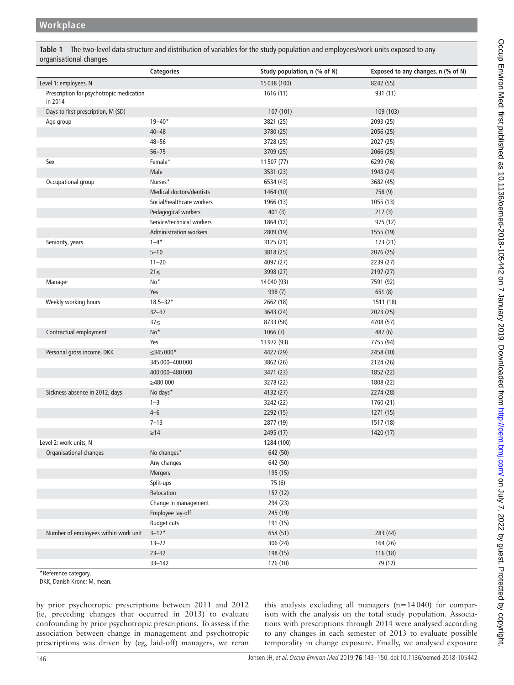<span id="page-3-0"></span>**Table 1** The two-level data structure and distribution of variables for the study population and employees/work units exposed to any organisational changes

|                                                     | <b>Categories</b>               | Study population, n (% of N) | Exposed to any changes, n (% of N) |
|-----------------------------------------------------|---------------------------------|------------------------------|------------------------------------|
| Level 1: employees, N                               |                                 | 15 038 (100)                 | 8242 (55)                          |
| Prescription for psychotropic medication<br>in 2014 |                                 | 1616(11)                     | 931 (11)                           |
| Days to first prescription, M (SD)                  |                                 | 107 (101)                    | 109 (103)                          |
| Age group                                           | $19 - 40*$                      | 3821 (25)                    | 2093 (25)                          |
|                                                     | $40 - 48$                       | 3780 (25)                    | 2056 (25)                          |
|                                                     | $48 - 56$                       | 3728 (25)                    | 2027 (25)                          |
|                                                     | $56 - 75$                       | 3709 (25)                    | 2066 (25)                          |
| Sex                                                 | Female*                         | 11 507 (77)                  | 6299 (76)                          |
|                                                     | Male                            | 3531 (23)                    | 1943 (24)                          |
| Occupational group                                  | Nurses*                         | 6534 (43)                    | 3682 (45)                          |
|                                                     | <b>Medical doctors/dentists</b> | 1464 (10)                    | 758 (9)                            |
|                                                     | Social/healthcare workers       | 1966 (13)                    | 1055(13)                           |
|                                                     | Pedagogical workers             | 401(3)                       | 217(3)                             |
|                                                     | Service/technical workers       | 1864 (12)                    | 975 (12)                           |
|                                                     | <b>Administration workers</b>   | 2809 (19)                    | 1555 (19)                          |
| Seniority, years                                    | $1 - 4^*$                       | 3125 (21)                    | 173 (21)                           |
|                                                     | $5 - 10$                        | 3818 (25)                    | 2076 (25)                          |
|                                                     | $11 - 20$                       | 4097 (27)                    | 2239 (27)                          |
|                                                     | $21 \leq$                       | 3998 (27)                    | 2197 (27)                          |
| Manager                                             | No*                             | 14 040 (93)                  | 7591 (92)                          |
|                                                     | Yes                             | 998 (7)                      | 651(8)                             |
| Weekly working hours                                | $18.5 - 32*$                    | 2662 (18)                    | 1511 (18)                          |
|                                                     | $32 - 37$                       | 3643 (24)                    | 2023 (25)                          |
|                                                     | 37 <sub>5</sub>                 | 8733 (58)                    | 4708 (57)                          |
| Contractual employment                              | No*                             | 1066(7)                      | 487 (6)                            |
|                                                     | Yes                             | 13 972 (93)                  | 7755 (94)                          |
| Personal gross income, DKK                          | ≤345 000*                       | 4427 (29)                    | 2458 (30)                          |
|                                                     | 345 000 - 400 000               | 3862 (26)                    | 2124 (26)                          |
|                                                     | 400 000 - 480 000               | 3471 (23)                    | 1852 (22)                          |
|                                                     | $\geq$ 480 000                  | 3278 (22)                    | 1808 (22)                          |
| Sickness absence in 2012, days                      | No days*                        | 4132 (27)                    | 2274 (28)                          |
|                                                     | $1 - 3$                         | 3242 (22)                    | 1760 (21)                          |
|                                                     | $4 - 6$                         | 2292 (15)                    | 1271 (15)                          |
|                                                     | $7 - 13$                        | 2877 (19)                    | 1517 (18)                          |
|                                                     | $\geq$ 14                       | 2495 (17)                    | 1420 (17)                          |
| Level 2: work units, N                              |                                 | 1284 (100)                   |                                    |
| Organisational changes                              | No changes*                     | 642 (50)                     |                                    |
|                                                     | Any changes                     | 642 (50)                     |                                    |
|                                                     | Mergers                         | 195 (15)                     |                                    |
|                                                     | Split-ups                       | 75 (6)                       |                                    |
|                                                     | Relocation                      | 157 (12)                     |                                    |
|                                                     | Change in management            | 294 (23)                     |                                    |
|                                                     | Employee lay-off                | 245 (19)                     |                                    |
|                                                     | <b>Budget cuts</b>              | 191 (15)                     |                                    |
| Number of employees within work unit                | $3 - 12*$                       | 654 (51)                     | 283 (44)                           |
|                                                     | $13 - 22$                       | 306 (24)                     | 164 (26)                           |
|                                                     | $23 - 32$                       | 198 (15)                     | 116(18)                            |
|                                                     | $33 - 142$                      | 126 (10)                     | 79 (12)                            |

\*Reference category.

DKK, Danish Krone; M, mean.

by prior psychotropic prescriptions between 2011 and 2012 (ie, preceding changes that occurred in 2013) to evaluate confounding by prior psychotropic prescriptions. To assess if the association between change in management and psychotropic prescriptions was driven by (eg, laid-off) managers, we reran

this analysis excluding all managers (n=14040) for comparison with the analysis on the total study population. Associations with prescriptions through 2014 were analysed according to any changes in each semester of 2013 to evaluate possible temporality in change exposure. Finally, we analysed exposure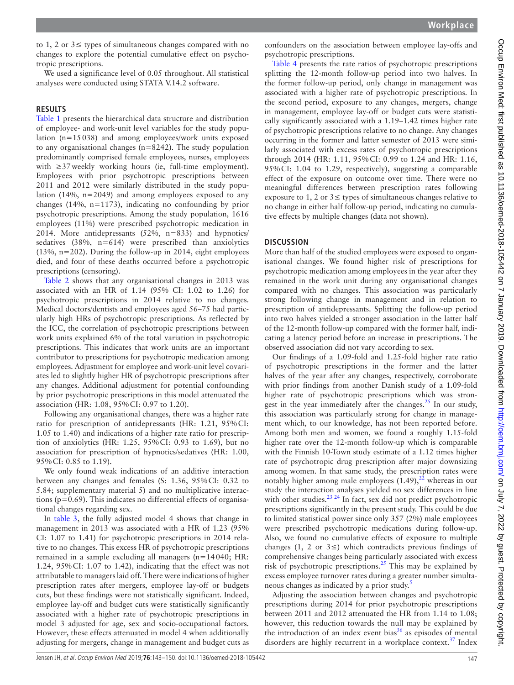to 1, 2 or 3≤ types of simultaneous changes compared with no changes to explore the potential cumulative effect on psychotropic prescriptions.

We used a significance level of 0.05 throughout. All statistical analyses were conducted using STATA V.14.2 software.

#### **Results**

[Table](#page-3-0) 1 presents the hierarchical data structure and distribution of employee- and work-unit level variables for the study population (n=15038) and among employees/work units exposed to any organisational changes (n=8242). The study population predominantly comprised female employees, nurses, employees with  $\geq$ 37 weekly working hours (ie, full-time employment). Employees with prior psychotropic prescriptions between 2011 and 2012 were similarly distributed in the study population (14%, n=2049) and among employees exposed to any changes (14%, n=1173), indicating no confounding by prior psychotropic prescriptions. Among the study population, 1616 employees (11%) were prescribed psychotropic medication in 2014. More antidepressants (52%, n=833) and hypnotics/ sedatives (38%, n=614) were prescribed than anxiolytics (13%, n=202). During the follow-up in 2014, eight employees died, and four of these deaths occurred before a psychotropic prescriptions (censoring).

[Table](#page-5-0) 2 shows that any organisational changes in 2013 was associated with an HR of 1.14 (95% CI: 1.02 to 1.26) for psychotropic prescriptions in 2014 relative to no changes. Medical doctors/dentists and employees aged 56–75 had particularly high HRs of psychotropic prescriptions. As reflected by the ICC, the correlation of psychotropic prescriptions between work units explained 6% of the total variation in psychotropic prescriptions. This indicates that work units are an important contributor to prescriptions for psychotropic medication among employees. Adjustment for employee and work-unit level covariates led to slightly higher HR of psychotropic prescriptions after any changes. Additional adjustment for potential confounding by prior psychotropic prescriptions in this model attenuated the association (HR: 1.08, 95%CI: 0.97 to 1.20).

Following any organisational changes, there was a higher rate ratio for prescription of antidepressants (HR: 1.21, 95%CI: 1.05 to 1.40) and indications of a higher rate ratio for prescription of anxiolytics (HR: 1.25, 95%CI: 0.93 to 1.69), but no association for prescription of hypnotics/sedatives (HR: 1.00, 95%CI: 0.85 to 1.19).

We only found weak indications of an additive interaction between any changes and females (S: 1.36, 95%CI: 0.32 to 5.84; [supplementary material 5\)](https://dx.doi.org/10.1136/oemed-2018-105442) and no multiplicative interactions ( $p=0.69$ ). This indicates no differential effects of organisational changes regarding sex.

In [table](#page-6-0) 3, the fully adjusted model 4 shows that change in management in 2013 was associated with a HR of 1.23 (95% CI: 1.07 to 1.41) for psychotropic prescriptions in 2014 relative to no changes. This excess HR of psychotropic prescriptions remained in a sample excluding all managers (n=14040; HR: 1.24, 95%CI: 1.07 to 1.42), indicating that the effect was not attributable to managers laid off. There were indications of higher prescription rates after mergers, employee lay-off or budgets cuts, but these findings were not statistically significant. Indeed, employee lay-off and budget cuts were statistically significantly associated with a higher rate of psychotropic prescriptions in model 3 adjusted for age, sex and socio-occupational factors. However, these effects attenuated in model 4 when additionally adjusting for mergers, change in management and budget cuts as confounders on the association between employee lay-offs and psychotropic prescriptions.

[Table](#page-6-1) 4 presents the rate ratios of psychotropic prescriptions splitting the 12-month follow-up period into two halves. In the former follow-up period, only change in management was associated with a higher rate of psychotropic prescriptions. In the second period, exposure to any changes, mergers, change in management, employee lay-off or budget cuts were statistically significantly associated with a 1.19–1.42 times higher rate of psychotropic prescriptions relative to no change. Any changes occurring in the former and latter semester of 2013 were similarly associated with excess rates of psychotropic prescriptions through 2014 (HR: 1.11, 95%CI: 0.99 to 1.24 and HR: 1.16, 95%CI: 1.04 to 1.29, respectively), suggesting a comparable effect of the exposure on outcome over time. There were no meaningful differences between prescription rates following exposure to 1, 2 or  $3 \leq$  types of simultaneous changes relative to no change in either half follow-up period, indicating no cumulative effects by multiple changes (data not shown).

## **Discussion**

More than half of the studied employees were exposed to organisational changes. We found higher risk of prescriptions for psychotropic medication among employees in the year after they remained in the work unit during any organisational changes compared with no changes. This association was particularly strong following change in management and in relation to prescription of antidepressants. Splitting the follow-up period into two halves yielded a stronger association in the latter half of the 12-month follow-up compared with the former half, indicating a latency period before an increase in prescriptions. The observed association did not vary according to sex.

Our findings of a 1.09-fold and 1.25-fold higher rate ratio of psychotropic prescriptions in the former and the latter halves of the year after any changes, respectively, corroborate with prior findings from another Danish study of a 1.09-fold higher rate of psychotropic prescriptions which was strongest in the year immediately after the changes.<sup>25</sup> In our study, this association was particularly strong for change in management which, to our knowledge, has not been reported before. Among both men and women, we found a roughly 1.15-fold higher rate over the 12-month follow-up which is comparable with the Finnish 10-Town study estimate of a 1.12 times higher rate of psychotropic drug prescription after major downsizing among women. In that same study, the prescription rates were notably higher among male employees  $(1.49)$ ,<sup>[22](#page-7-12)</sup> whereas in our study the interaction analyses yielded no sex differences in line with other studies. $^{23}$  <sup>24</sup> In fact, sex did not predict psychotropic prescriptions significantly in the present study. This could be due to limited statistical power since only 357 (2%) male employees were prescribed psychotropic medications during follow-up. Also, we found no cumulative effects of exposure to multiple changes (1, 2 or  $3 \leq$ ) which contradicts previous findings of comprehensive changes being particularly associated with excess risk of psychotropic prescriptions.<sup>25</sup> This may be explained by excess employee turnover rates during a greater number simulta-neous changes as indicated by a prior study.<sup>[5](#page-7-10)</sup>

Adjusting the association between changes and psychotropic prescriptions during 2014 for prior psychotropic prescriptions between 2011 and 2012 attenuated the HR from 1.14 to 1.08; however, this reduction towards the null may be explained by the introduction of an index event bias<sup>36</sup> as episodes of mental disorders are highly recurrent in a workplace context.<sup>[37](#page-7-25)</sup> Index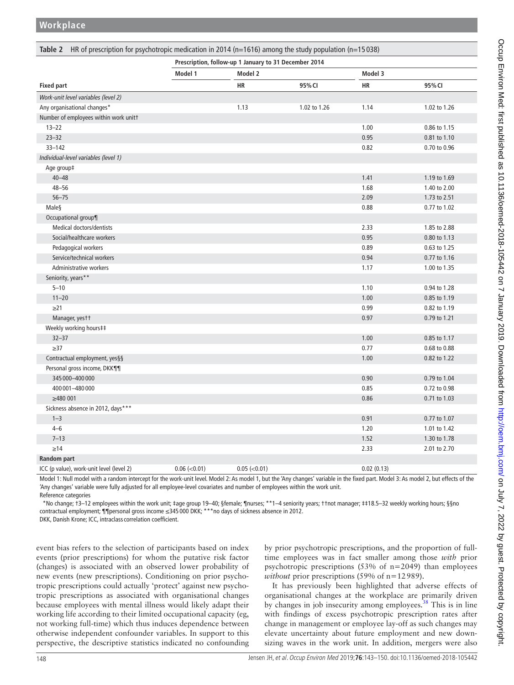<span id="page-5-0"></span>

|                                          | Prescription, follow-up 1 January to 31 December 2014 |                    |              |            |              |  |
|------------------------------------------|-------------------------------------------------------|--------------------|--------------|------------|--------------|--|
|                                          | Model 1                                               | Model 2            |              | Model 3    |              |  |
| <b>Fixed part</b>                        |                                                       | <b>HR</b>          | 95% CI       | <b>HR</b>  | 95% CI       |  |
| Work-unit level variables (level 2)      |                                                       |                    |              |            |              |  |
| Any organisational changes*              |                                                       | 1.13               | 1.02 to 1.26 | 1.14       | 1.02 to 1.26 |  |
| Number of employees within work unitt    |                                                       |                    |              |            |              |  |
| $13 - 22$                                |                                                       |                    |              | 1.00       | 0.86 to 1.15 |  |
| $23 - 32$                                |                                                       |                    |              | 0.95       | 0.81 to 1.10 |  |
| $33 - 142$                               |                                                       |                    |              | 0.82       | 0.70 to 0.96 |  |
| Individual-level variables (level 1)     |                                                       |                    |              |            |              |  |
| Age group‡                               |                                                       |                    |              |            |              |  |
| $40 - 48$                                |                                                       |                    |              | 1.41       | 1.19 to 1.69 |  |
| $48 - 56$                                |                                                       |                    |              | 1.68       | 1.40 to 2.00 |  |
| $56 - 75$                                |                                                       |                    |              | 2.09       | 1.73 to 2.51 |  |
| Male§                                    |                                                       |                    |              | 0.88       | 0.77 to 1.02 |  |
| Occupational group¶                      |                                                       |                    |              |            |              |  |
| Medical doctors/dentists                 |                                                       |                    |              | 2.33       | 1.85 to 2.88 |  |
| Social/healthcare workers                |                                                       |                    |              | 0.95       | 0.80 to 1.13 |  |
| Pedagogical workers                      |                                                       |                    |              | 0.89       | 0.63 to 1.25 |  |
| Service/technical workers                |                                                       |                    |              | 0.94       | 0.77 to 1.16 |  |
| Administrative workers                   |                                                       |                    |              | 1.17       | 1.00 to 1.35 |  |
| Seniority, years**                       |                                                       |                    |              |            |              |  |
| $5 - 10$                                 |                                                       |                    |              | 1.10       | 0.94 to 1.28 |  |
| $11 - 20$                                |                                                       |                    |              | 1.00       | 0.85 to 1.19 |  |
| $\geq$ 21                                |                                                       |                    |              | 0.99       | 0.82 to 1.19 |  |
| Manager, yestt                           |                                                       |                    |              | 0.97       | 0.79 to 1.21 |  |
| Weekly working hours##                   |                                                       |                    |              |            |              |  |
| $32 - 37$                                |                                                       |                    |              | 1.00       | 0.85 to 1.17 |  |
| $\geq$ 37                                |                                                       |                    |              | 0.77       | 0.68 to 0.88 |  |
| Contractual employment, yes§§            |                                                       |                    |              | 1.00       | 0.82 to 1.22 |  |
| Personal gross income, DKK¶¶             |                                                       |                    |              |            |              |  |
| 345 000 - 400 000                        |                                                       |                    |              | 0.90       | 0.79 to 1.04 |  |
| 400 001 - 480 000                        |                                                       |                    |              | 0.85       | 0.72 to 0.98 |  |
| $\geq$ 480 001                           |                                                       |                    |              | 0.86       | 0.71 to 1.03 |  |
| Sickness absence in 2012, days***        |                                                       |                    |              |            |              |  |
| $1 - 3$                                  |                                                       |                    |              | 0.91       | 0.77 to 1.07 |  |
| $4 - 6$                                  |                                                       |                    |              | 1.20       | 1.01 to 1.42 |  |
| $7 - 13$                                 |                                                       |                    |              | 1.52       | 1.30 to 1.78 |  |
| $\geq$ 14                                |                                                       |                    |              | 2.33       | 2.01 to 2.70 |  |
| Random part                              |                                                       |                    |              |            |              |  |
| ICC (p value), work-unit level (level 2) | $0.06$ (< $0.01$ )                                    | $0.05$ (< $0.01$ ) |              | 0.02(0.13) |              |  |

Model 1: Null model with a random intercept for the work-unit level. Model 2: As model 1, but the 'Any changes' variable in the fixed part. Model 3: As model 2, but effects of the 'Any changes' variable were fully adjusted for all employee-level covariates and number of employees within the work unit.

Reference categories

 \*No change; †3–12 employees within the work unit; ‡age group 19–40; §female; ¶nurses; \*\*1–4 seniority years; ††not manager; ‡‡18.5–32 weekly working hours; §§no contractual employment; ¶¶personal gross income ≤345 000 DKK; \*\*\*no days of sickness absence in 2012.

DKK, Danish Krone; ICC, intraclass correlation coefficient.

event bias refers to the selection of participants based on index events (prior prescriptions) for whom the putative risk factor (changes) is associated with an observed lower probability of new events (new prescriptions). Conditioning on prior psychotropic prescriptions could actually 'protect' against new psychotropic prescriptions as associated with organisational changes because employees with mental illness would likely adapt their working life according to their limited occupational capacity (eg, not working full-time) which thus induces dependence between otherwise independent confounder variables. In support to this perspective, the descriptive statistics indicated no confounding

by prior psychotropic prescriptions, and the proportion of fulltime employees was in fact smaller among those *with* prior psychotropic prescriptions (53% of n=2049) than employees *without* prior prescriptions (59% of n=12989).

It has previously been highlighted that adverse effects of organisational changes at the workplace are primarily driven by changes in job insecurity among employees.<sup>38</sup> This is in line with findings of excess psychotropic prescription rates after change in management or employee lay-off as such changes may elevate uncertainty about future employment and new downsizing waves in the work unit. In addition, mergers were also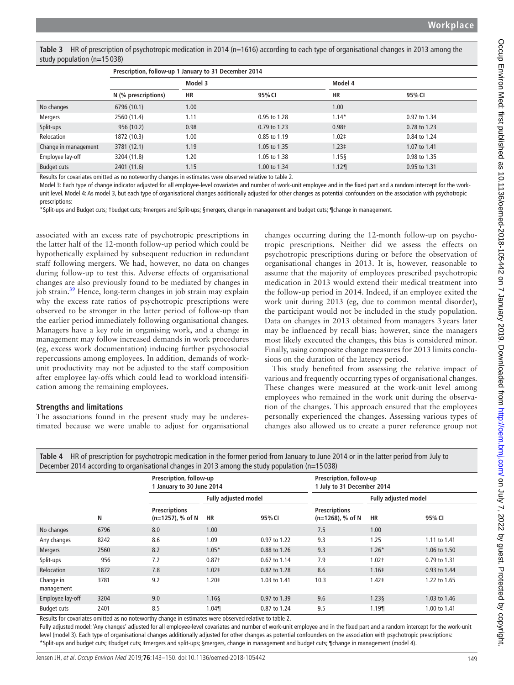<span id="page-6-0"></span>**Table 3** HR of prescription of psychotropic medication in 2014 (n=1616) according to each type of organisational changes in 2013 among the study population (n=15 038)

|                      | Prescription, follow-up 1 January to 31 December 2014 |         |              |            |              |  |
|----------------------|-------------------------------------------------------|---------|--------------|------------|--------------|--|
|                      |                                                       | Model 3 |              | Model 4    |              |  |
|                      | N (% prescriptions)                                   | HR      | 95% CI       | НR         | 95% CI       |  |
| No changes           | 6796 (10.1)                                           | 1.00    |              | 1.00       |              |  |
| Mergers              | 2560 (11.4)                                           | 1.11    | 0.95 to 1.28 | $1.14*$    | 0.97 to 1.34 |  |
| Split-ups            | 956 (10.2)                                            | 0.98    | 0.79 to 1.23 | $0.98+$    | 0.78 to 1.23 |  |
| Relocation           | 1872 (10.3)                                           | 1.00    | 0.85 to 1.19 | $1.02 \pm$ | 0.84 to 1.24 |  |
| Change in management | 3781 (12.1)                                           | 1.19    | 1.05 to 1.35 | $1.23 \pm$ | 1.07 to 1.41 |  |
| Employee lay-off     | 3204 (11.8)                                           | 1.20    | 1.05 to 1.38 | $1.15$ §   | 0.98 to 1.35 |  |
| <b>Budget cuts</b>   | 2401 (11.6)                                           | 1.15    | 1.00 to 1.34 | 1.12       | 0.95 to 1.31 |  |

Results for covariates omitted as no noteworthy changes in estimates were observed relative to [table 2](#page-5-0).

Model 3: Each type of change indicator adjusted for all employee-level covariates and number of work-unit employee and in the fixed part and a random intercept for the workunit level. Model 4: As model 3, but each type of organisational changes additionally adjusted for other changes as potential confounders on the association with psychotropic prescriptions:

\*Split-ups and Budget cuts; †budget cuts; ‡mergers and Split-ups; §mergers, change in management and budget cuts; ¶change in management.

associated with an excess rate of psychotropic prescriptions in the latter half of the 12-month follow-up period which could be hypothetically explained by subsequent reduction in redundant staff following mergers. We had, however, no data on changes during follow-up to test this. Adverse effects of organisational changes are also previously found to be mediated by changes in job strain.<sup>[39](#page-7-27)</sup> Hence, long-term changes in job strain may explain why the excess rate ratios of psychotropic prescriptions were observed to be stronger in the latter period of follow-up than the earlier period immediately following organisational changes. Managers have a key role in organising work, and a change in management may follow increased demands in work procedures (eg, excess work documentation) inducing further psychosocial repercussions among employees. In addition, demands of workunit productivity may not be adjusted to the staff composition after employee lay-offs which could lead to workload intensification among the remaining employees.

## **Strengths and limitations**

The associations found in the present study may be underestimated because we were unable to adjust for organisational changes occurring during the 12-month follow-up on psychotropic prescriptions. Neither did we assess the effects on psychotropic prescriptions during or before the observation of organisational changes in 2013. It is, however, reasonable to assume that the majority of employees prescribed psychotropic medication in 2013 would extend their medical treatment into the follow-up period in 2014. Indeed, if an employee exited the work unit during 2013 (eg, due to common mental disorder), the participant would not be included in the study population. Data on changes in 2013 obtained from managers 3years later may be influenced by recall bias; however, since the managers most likely executed the changes, this bias is considered minor. Finally, using composite change measures for 2013 limits conclusions on the duration of the latency period.

This study benefited from assessing the relative impact of various and frequently occurring types of organisational changes. These changes were measured at the work-unit level among employees who remained in the work unit during the observation of the changes. This approach ensured that the employees personally experienced the changes. Assessing various types of changes also allowed us to create a purer reference group not

| December 2014 according to organisational changes in 2013 among the study population ( $n=15038$ ) |      |                                                      |                             |              |                                                       |            |              |  |
|----------------------------------------------------------------------------------------------------|------|------------------------------------------------------|-----------------------------|--------------|-------------------------------------------------------|------------|--------------|--|
|                                                                                                    |      | Prescription, follow-up<br>1 January to 30 June 2014 |                             |              | Prescription, follow-up<br>1 July to 31 December 2014 |            |              |  |
|                                                                                                    |      |                                                      | <b>Fully adjusted model</b> |              | <b>Fully adjusted model</b>                           |            |              |  |
|                                                                                                    | N    | <b>Prescriptions</b><br>$(n=1257)$ , % of N          | <b>HR</b>                   | 95% CI       | <b>Prescriptions</b><br>$(n=1268)$ , % of N           | НR         | 95% CI       |  |
| No changes                                                                                         | 6796 | 8.0                                                  | 1.00                        |              | 7.5                                                   | 1.00       |              |  |
| Any changes                                                                                        | 8242 | 8.6                                                  | 1.09                        | 0.97 to 1.22 | 9.3                                                   | 1.25       | 1.11 to 1.41 |  |
| <b>Mergers</b>                                                                                     | 2560 | 8.2                                                  | $1.05*$                     | 0.88 to 1.26 | 9.3                                                   | $1.26*$    | 1.06 to 1.50 |  |
| Split-ups                                                                                          | 956  | 7.2                                                  | $0.87+$                     | 0.67 to 1.14 | 7.9                                                   | $1.02+$    | 0.79 to 1.31 |  |
| Relocation                                                                                         | 1872 | 7.8                                                  | 1.02 <sup>‡</sup>           | 0.82 to 1.28 | 8.6                                                   | 1.16‡      | 0.93 to 1.44 |  |
| Change in<br>management                                                                            | 3781 | 9.2                                                  | 1.20‡                       | 1.03 to 1.41 | 10.3                                                  | $1.42 \pm$ | 1.22 to 1.65 |  |
| Employee lay-off                                                                                   | 3204 | 9.0                                                  | 1.168                       | 0.97 to 1.39 | 9.6                                                   | $1.23\S$   | 1.03 to 1.46 |  |
| <b>Budget cuts</b>                                                                                 | 2401 | 8.5                                                  | 1.04                        | 0.87 to 1.24 | 9.5                                                   | 1.19¶      | 1.00 to 1.41 |  |

<span id="page-6-1"></span>**Table 4** HR of prescription for psychotropic medication in the former period from January to June 2014 or in the latter period from July to

Results for covariates omitted as no noteworthy change in estimates were observed relative to [table 2.](#page-5-0)

Fully adjusted model: 'Any changes' adjusted for all employee-level covariates and number of work-unit employee and in the fixed part and a random intercept for the work-unit level (model 3). Each type of organisational changes additionally adjusted for other changes as potential confounders on the association with psychotropic prescriptions: \*Split-ups and budget cuts; ‡budget cuts; ‡mergers and split-ups; §mergers, change in management and budget cuts; ¶change in management (model 4).